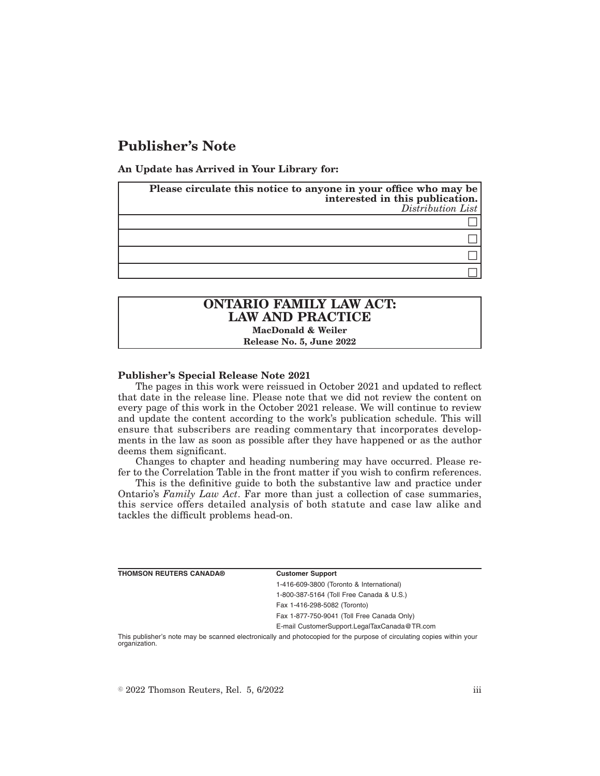# **Publisher's Note**

**An Update has Arrived in Your Library for:**

| Please circulate this notice to anyone in your office who may be<br>interested in this publication.<br>$Distribution$ |
|-----------------------------------------------------------------------------------------------------------------------|
|                                                                                                                       |
|                                                                                                                       |
|                                                                                                                       |
|                                                                                                                       |

# **ONTARIO FAMILY LAW ACT: LAW AND PRACTICE MacDonald & Weiler**

**Release No. 5, June 2022**

#### **Publisher's Special Release Note 2021**

The pages in this work were reissued in October 2021 and updated to reflect that date in the release line. Please note that we did not review the content on every page of this work in the October 2021 release. We will continue to review and update the content according to the work's publication schedule. This will ensure that subscribers are reading commentary that incorporates developments in the law as soon as possible after they have happened or as the author deems them significant.

Changes to chapter and heading numbering may have occurred. Please refer to the Correlation Table in the front matter if you wish to confirm references.

This is the definitive guide to both the substantive law and practice under Ontario's *Family Law Act*. Far more than just a collection of case summaries, this service offers detailed analysis of both statute and case law alike and tackles the difficult problems head-on.

| <b>THOMSON REUTERS CANADA®</b> | <b>Customer Support</b>                      |
|--------------------------------|----------------------------------------------|
|                                | 1-416-609-3800 (Toronto & International)     |
|                                | 1-800-387-5164 (Toll Free Canada & U.S.)     |
|                                | Fax 1-416-298-5082 (Toronto)                 |
|                                | Fax 1-877-750-9041 (Toll Free Canada Only)   |
|                                | E-mail CustomerSupport.LegalTaxCanada@TR.com |

This publisher's note may be scanned electronically and photocopied for the purpose of circulating copies within your organization.

 $\degree$  2022 Thomson Reuters, Rel. 5, 6/2022 iii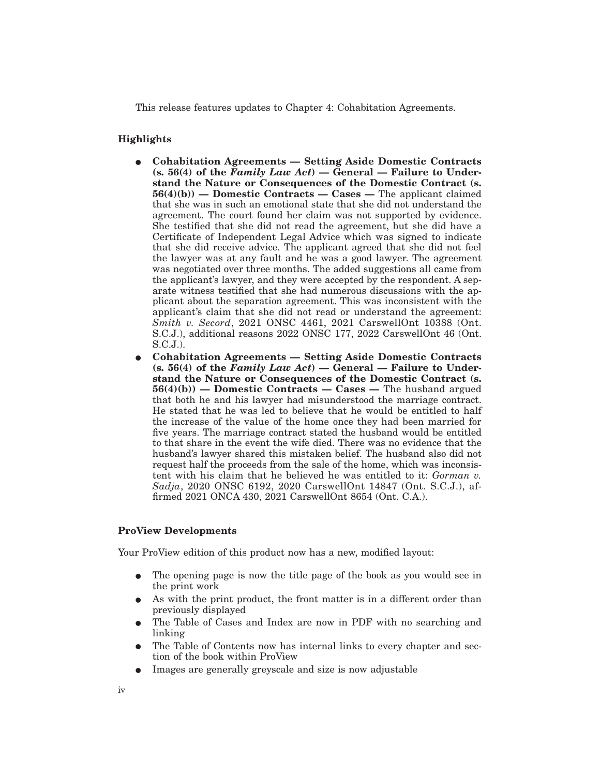This release features updates to Chapter 4: Cohabitation Agreements.

## **Highlights**

- $\bullet$  Cohabitation Agreements Setting Aside Domestic Contracts **(s. 56(4) of the** *Family Law Act***) — General — Failure to Understand the Nature or Consequences of the Domestic Contract (s. 56(4)(b)) — Domestic Contracts — Cases —** The applicant claimed that she was in such an emotional state that she did not understand the agreement. The court found her claim was not supported by evidence. She testified that she did not read the agreement, but she did have a Certificate of Independent Legal Advice which was signed to indicate that she did receive advice. The applicant agreed that she did not feel the lawyer was at any fault and he was a good lawyer. The agreement was negotiated over three months. The added suggestions all came from the applicant's lawyer, and they were accepted by the respondent. A separate witness testified that she had numerous discussions with the applicant about the separation agreement. This was inconsistent with the applicant's claim that she did not read or understand the agreement: *Smith v. Secord*, 2021 ONSC 4461, 2021 CarswellOnt 10388 (Ont. S.C.J.), additional reasons 2022 ONSC 177, 2022 CarswellOnt 46 (Ont. S.C.J.).
- E **Cohabitation Agreements Setting Aside Domestic Contracts (s. 56(4) of the** *Family Law Act***) — General — Failure to Understand the Nature or Consequences of the Domestic Contract (s. 56(4)(b)) — Domestic Contracts — Cases —** The husband argued that both he and his lawyer had misunderstood the marriage contract. He stated that he was led to believe that he would be entitled to half the increase of the value of the home once they had been married for five years. The marriage contract stated the husband would be entitled to that share in the event the wife died. There was no evidence that the husband's lawyer shared this mistaken belief. The husband also did not request half the proceeds from the sale of the home, which was inconsistent with his claim that he believed he was entitled to it: *Gorman v. Sadja*, 2020 ONSC 6192, 2020 CarswellOnt 14847 (Ont. S.C.J.), affirmed 2021 ONCA 430, 2021 CarswellOnt 8654 (Ont. C.A.).

### **ProView Developments**

Your ProView edition of this product now has a new, modified layout:

- The opening page is now the title page of the book as you would see in the print work
- As with the print product, the front matter is in a different order than previously displayed
- E The Table of Cases and Index are now in PDF with no searching and linking
- E The Table of Contents now has internal links to every chapter and section of the book within ProView
- E Images are generally greyscale and size is now adjustable